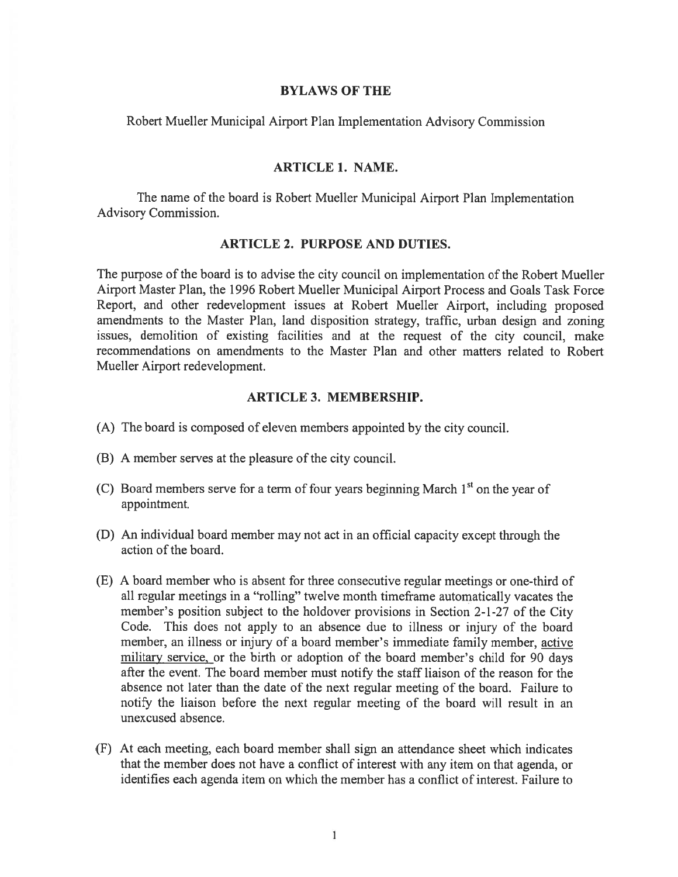### BYLAWS OF THE

Robert Mueller Municipal Airport Plan Implementation Advisory Commission

# ARTICLE 1. NAME.

The name of the board is Robert Mueller Municipal Airport Plan Implementation Advisory Commission.

## ARTICLE 2. PURPOSE AND DUTIES.

The purpose of the board is to advise the city council on implementation of the Robert Mueller Airport Master Plan, the 1996 Robert Mueller Municipal Airport Process and Goals Task force Report, and other redevelopment issues at Robert Mueller Airport, including proposed amendments to the Master Plan, land disposition strategy, traffic, urban design and zoning issues, demolition of existing facilities and at the reques<sup>t</sup> of the city council, make recommendations on amendments to the Master Plan and other matters related to Robert Mueller Airport redevelopment.

# ARTICLE 3. MEMBERSHIP.

- (A) The board is composed of eleven members appointed by the city council.
- (B) A member serves at the pleasure of the city council.
- (C) Board members serve for a term of four years beginning March  $1<sup>st</sup>$  on the year of appointment.
- (D) An individual board member may not act in an official capacity excep<sup>t</sup> through the action of the board.
- (E) A board member who is absent for three consecutive regular meetings or one-third of all regular meetings in <sup>a</sup> "rolling" twelve month timeframe automatically vacates the member's position subject to the holdover provisions in Section 2-1-27 of the City Code. This does not apply to an absence due to illness or injury of the board member, an illness or injury of <sup>a</sup> board member's immediate family member, active military service, or the birth or adoption of the board member's child for 90 days afier the event. The board member must notify the staff liaison of the reason for the absence not later than the date of the next regular meeting of the board. Failure to notify the liaison before the next regular meeting of the board will result in an unexcused absence.
- (F) At each meeting, each board member shall sign an attendance sheet which indicates that the member does not have <sup>a</sup> conflict of interest with any item on that agenda, or identifies each agenda item on which the member has <sup>a</sup> conflict of interest. Failure to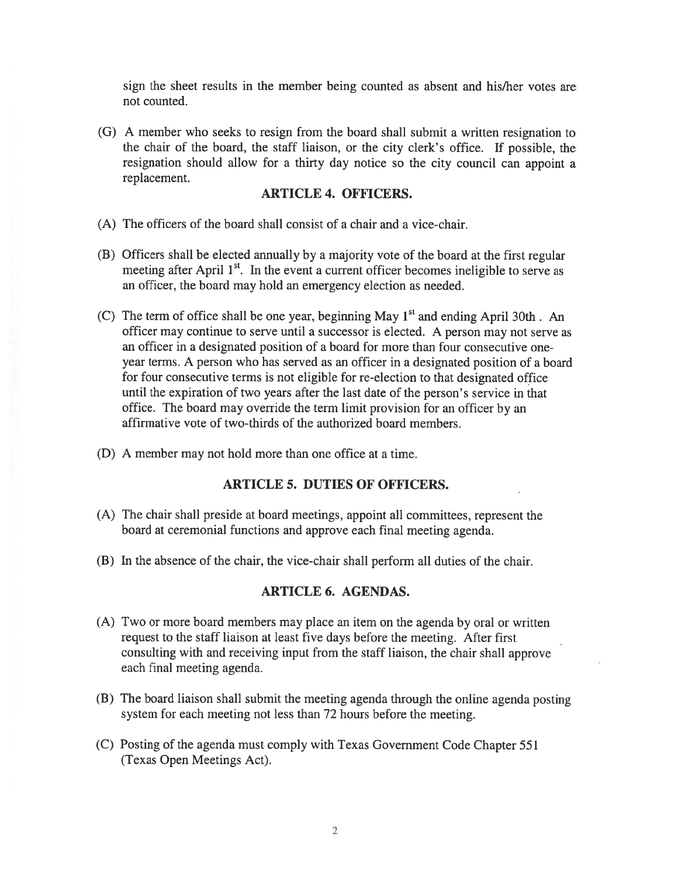sign the sheet results in the member being counted as absent and his/her votes are not counted.

(G) <sup>A</sup> member who seeks to resign from the board shall submit <sup>a</sup> written resignation to the chair of the board, the staff liaison, or the city clerk's office. If possible, the resignation should allow for <sup>a</sup> thirty day notice so the city council can appoint <sup>a</sup> replacement.

## ARTICLE 4. OFFICERS.

- (A) The officers of the board shall consist of <sup>a</sup> chair and <sup>a</sup> vice-chair.
- (B) Officers shall be elected annually by <sup>a</sup> majority vote of the board at the first regular meeting after April  $1<sup>st</sup>$ . In the event a current officer becomes ineligible to serve as an officer, the board may hold an emergency election as needed.
- (C) The term of office shall be one year, beginning May  $1<sup>st</sup>$  and ending April 30th. An officer may continue to serve until <sup>a</sup> successor is elected. <sup>A</sup> person may not serve as an officer in <sup>a</sup> designated position of <sup>a</sup> board for more than four consecutive oneyear terms. A person who has served as an officer in <sup>a</sup> designated position of <sup>a</sup> board for four consecutive terms is not eligible for re-election to that designated office until the expiration of two years after the last date of the person's service in that office. The board may override the term limit provision for an officer by an affirmative vote of two-thirds of the authorized board members.
- (D) A member may not hold more than one office at <sup>a</sup> time.

# ARTICLE 5. DUTIES OF OFFICERS.

- (A) The chair shall preside at board meetings, appoint all committees, represen<sup>t</sup> the board at ceremonial functions and approve each final meeting agenda.
- (B) In the absence of the chair, the vice-chair shall perform all duties of the chair.

## ARTICLE 6. AGENDAS.

- (A) Two or more board members may <sup>p</sup>lace an item on the agenda by oral or written reques<sup>t</sup> to the staff liaison at least five days before the meeting. After first consulting with and receiving input from the staff liaison, the chair shall approve each final meeting agenda.
- (B) The board liaison shall submit the meeting agenda through the online agenda posting system for each meeting not less than 72 hours before the meeting.
- (C) Posting of the agenda must comply with Texas Government Code Chapter 551 (Texas Open Meetings Act).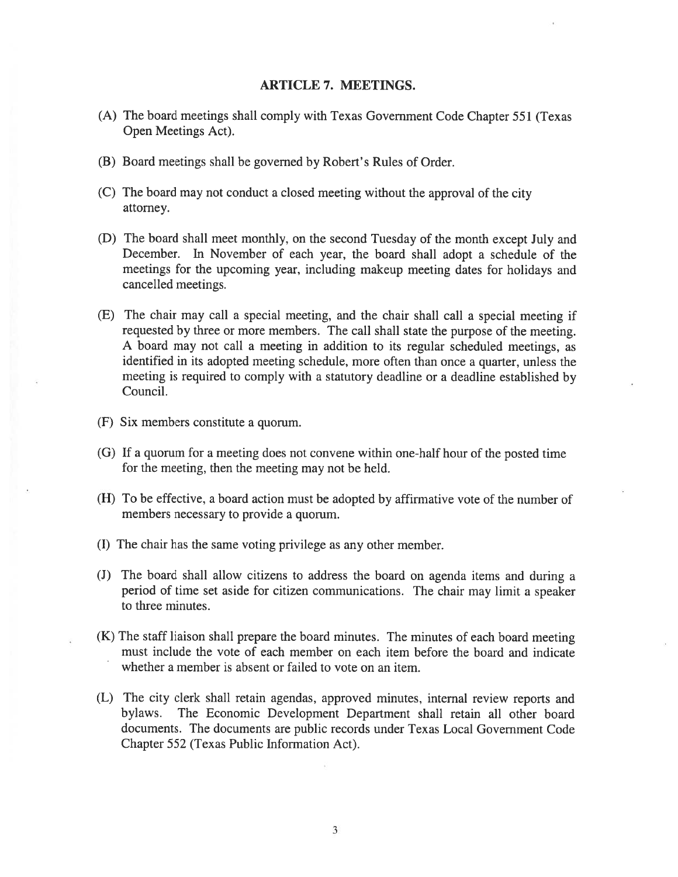#### ARTICLE 7. MEETINGS.

- (A) The board meetings shall comply with Texas Government Code Chapter 551 (Texas Open Meetings Act).
- (B) Board meetings shall be governed by Robert's Rules of Order.
- (C) The board may not conduct <sup>a</sup> closed meeting without the approva<sup>l</sup> of the city attorney.
- (D) The board shall meet monthly, on the second Tuesday of the month excep<sup>t</sup> July and December. In November of each year, the board shall adopt <sup>a</sup> schedule of the meetings for the upcoming year, including makeup meeting dates for holidays and cancelled meetings.
- (E) The chair may call <sup>a</sup> special meeting, and the chair shall call <sup>a</sup> special meeting if requested by three or more members. The call shall state the purpose of the meeting. <sup>A</sup> board may not call <sup>a</sup> meeting in addition to its regular scheduled meetings, as identified in its adopted meeting schedule, more often than once <sup>a</sup> quarter, unless the meeting is required to comply with <sup>a</sup> statutory deadline or <sup>a</sup> deadline established by Council.
- (F) Six members constitute <sup>a</sup> quorum.
- (G) If <sup>a</sup> quorum for <sup>a</sup> meeting does not convene within one-half hour of the posted time for the meeting, then the meeting may not be held.
- (H) To be effective, <sup>a</sup> board action must be adopted by affirmative vote of the number of members necessary to provide <sup>a</sup> quorum.
- (I) The chair has the same voting privilege as any other member.
- (J) The board shall allow citizens to address the board on agenda items and during <sup>a</sup> period of time set aside for citizen communications. The chair may limit <sup>a</sup> speaker to three minutes.
- (K) The staff liaison shall prepare the board minutes. The minutes of each board meeting must include the vote of each member on each item before the board and indicate whether <sup>a</sup> member is absent or failed to vote on an item.
- (L) The city clerk shall retain agendas, approved minutes, internal review reports and bylaws. The Economic Development Department shall retain all other board documents. The documents are public records under Texas Local Government Code Chapter 552 (Texas Public Information Act).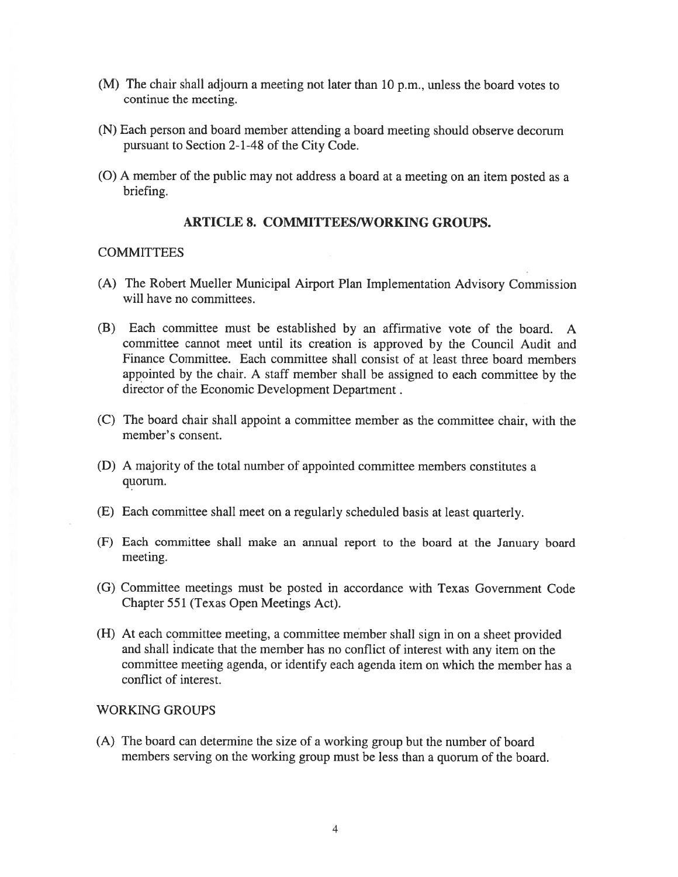- (M) The chair shall adjourn <sup>a</sup> meeting not later than 10 p.m., unless the board votes to continue the meeting.
- (N) Each person and board member attending <sup>a</sup> board meeting should observe decorum pursuan<sup>t</sup> to Section 2-1-48 of the City Code.
- (0) <sup>A</sup> member of the public may not address <sup>a</sup> board at <sup>a</sup> meeting on an item posted as <sup>a</sup> briefing.

# ARTICLE 8. COMMITTEES/WORKING GROUPS.

# **COMMITTEES**

- (A) The Robert Mueller Municipal Airport Plan Implementation Advisory Commission will have no committees.
- (B) Each committee must be established by an affirmative vote of the board. A committee cannot meet until its creation is approved by the Council Audit and Finance Committee. Each committee shall consist of at least three board members appointed by the chair. <sup>A</sup> staff member shall be assigned to each committee by the director of the Economic Development Department.
- (C) The board chair shall appoint <sup>a</sup> committee member as the committee chair, with the member's consent.
- (D) A majority of the total number of appointed committee members constitutes <sup>a</sup> quorum.
- (F) Each committee shall meet on <sup>a</sup> regularly scheduled basis at least quarterly.
- (F) Each committee shall make an annual repor<sup>t</sup> to the board at the January board meeting.
- (G) Committee meetings must be posted in accordance with Texas Government Code Chapter 551 (Texas Open Meetings Act).
- (H) At each committee meeting, <sup>a</sup> committee member shall sign in on <sup>a</sup> sheet provided and shall indicate that the member has no conflict of interest with any item on the committee meeting agenda, or identify each agenda item on which the member has <sup>a</sup> conflict of interest.

#### WORKING GROUPS

(A) The board can determine the size of <sup>a</sup> working group but the number of board members serving on the working group must be less than <sup>a</sup> quorum of the board.